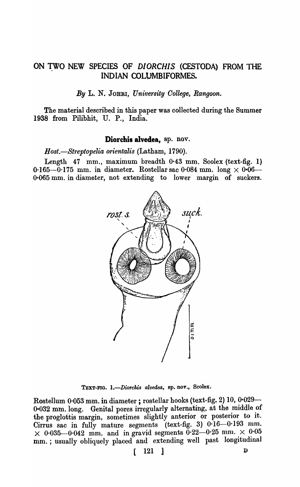# ON TWO NEW SPECIES OF *DIORCHIS* (CESTODA) FROM THE INDIAN COLUMBIFORMES.

*By* L. N. JOBRI, *University Oollege, Rangoon.* 

The material described in this paper was collected during the Summer 1938 from Pilibhit, U. P., India.

#### Diorchis alvedea, sp. nov.

*Host.-Streptopelia orienta lis* (Latham, 1790).

Length 47 mm., maximum breadth  $0.43$  mm. Scolex (text-fig. 1) 0.165-0.175 mm. in diameter. Rostellar sac 0.084 mm. long  $\times$  0.06-0-065 mm. in diameter, not extending to lower margin of suckers.



TEXT-FIG. *I.-Diorckis alvedea,* ap. nov., Scolex.

Rostellum 0.053 mm. in diameter; rostellar hooks (text-fig. 2) 10, 0.029-0-032 mm. long. Genital pores irregularly alternating, at the middle of the proglottis margin, sometimes slightly anterior or posterior to it. Cirrus sac in fully mature segments (text-fig. 3)  $0.16 - 0.193$  mm.  $\times$  0.035-0.042 mm. and in gravid segments 0.22-0.25 mm.  $\times$  0.05 mm. ; usually obliquely placed and extending well past longitudinal

 $\begin{bmatrix} 121 \end{bmatrix}$  p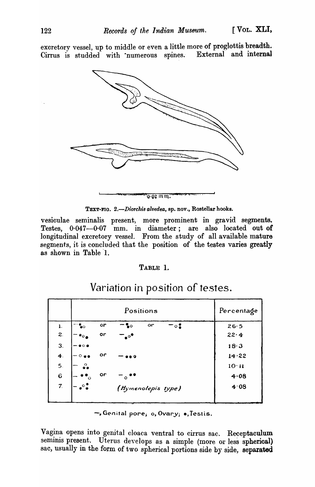excretory vessel, up to middle or even a little more of proglottis breadth.<br>Cirrus is studded with numerous spines. External and internal Cirrus is studded with numerous spines.



TEXT-FIG. *2.-Diorchi8 alvedea,* ap. nov., Rostellar hooks.

vesiculae seminalis present, more prominent in gravid segments. Testes,  $0.047-0.07$  mm. in diameter; are also located out of longitudinal excretory vessel. From the study of all available mature segments, it is concluded that the position of the testes varies greatly as shown in Table '1.

### TABLE 1.

|                    |                             | Percentage |                       |          |
|--------------------|-----------------------------|------------|-----------------------|----------|
| $\mathbf{1}$ .     | စေ                          | or         | or<br>∙∘<br>$\circ$ . | 26.5     |
| 2.                 | $\bullet$ o,                | or         | $\cdot^\circ$         | $22 - 4$ |
| 3.                 | $\bullet$ $\circ$ $\bullet$ |            |                       | 18.3     |
| $\boldsymbol{4}$ . | $^{\circ}$ e o              | or         | DО                    | 14.22    |
| 5.                 | $\circ$                     |            |                       | 10·11    |
| $6\phantom{1}6$    | $\circ$                     | or         | ີ໐                    | 4.08     |
| 7.                 | °°,                         |            | (Hymenolepis type)    | 4.08     |
|                    |                             |            |                       |          |

Variation in position of testes.

 $-$ , Genital pore; o, Ovary;  $\bullet$ , Testis.

Vagina opens into genital cloaca ventral to cirrus sac. Receptaculum seminis present. Uterus develops as a simple (more or less spherical) sac, usually in the form of two spherical portions side by side, separated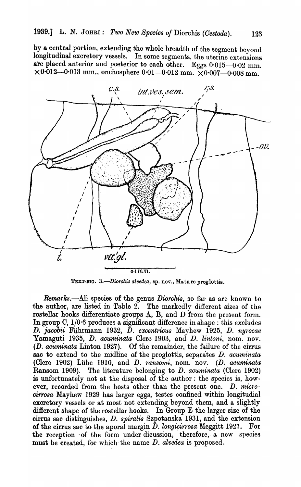by a central portion, extending the whole breadth of the segment beyond longitudinal excretory vessels. In some segments, the uterine extensions are placed anterior and posterior to each other. Eggs 0.015-0.02 mm.  $\times 0.012 - 0.013$  mm., onchosphere 0.01-0.012 mm.  $\times 0.007 - 0.008$  mm.



TEXT-FIG. 3.-Diorchis alvedea, sp. nov., Mature proglottis.

*Rernarks.-All* species of the genus *Diorchis,* so far as are known to the author, are listed in Table 2. The markedly different sizes of the rostellar hooks differentiate groups  $A$ ,  $B$ , and  $D$  from the present form. In group C,  $1/0.6$  produces a significant difference in shape: this excludes D. *jacobii* Fuhrmann 1932, D. *excentricus* Mayhew 1925, D. *nyrocae*  Yamaguti 1935, *D. acuminata* Clerc 1903, and *D. lintoni*, nom. nov. (D. *acuminata* Linton 1927). Of the remainder, the failure of the cirrus sac to extend to the midline of the proglottis, separates D. *acuminata* (Clerc 1902) LUhe 1910, and D. *ransomi,* nom. nov. (D. *acuminata*  Ransom 1909). The literature belonging to D. acuminata (Clerc 1902) is unfortunately not at the disposal of the author: the species is, however, recorded from the hosts other than the present one. *D. microcirrosa* Mayhew 1929 has larger eggs, testes confined within longitudial excretory vessels or at most not extending beyond them, and a slightly difierent shape of the rostellar hooks. In Group E the larger size of the cirrus sac distinguishes, D. *spiralis* Szpotanska 1931, and the extension of the cirrus sac to the aporal margin  $D$ . longicirrosa Meggitt 1927. For the reception of the form under dicussion, therefore, a new species must be created, for which the name D. *alvedea* is proposed.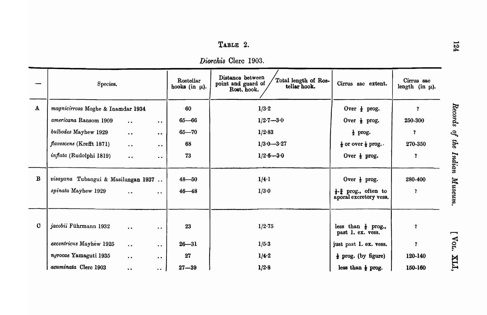*Diorckis* Clerc 1903.

|              | Species.                                                   |                      |                     | Rostellar<br>hooks (in $\mu$ ). | Distance between<br>Total length of Ros-<br>point and guard of<br>tellar hook.<br>Rost. hook. | Cirrus sac extent.                                                                                    | Cirrus sac<br>length (in $\mu$ ). |
|--------------|------------------------------------------------------------|----------------------|---------------------|---------------------------------|-----------------------------------------------------------------------------------------------|-------------------------------------------------------------------------------------------------------|-----------------------------------|
| $\mathbf{A}$ | magnicirrosa Moghe & Inamdar 1934                          |                      |                     | 60                              | 1/3.2                                                                                         | Over $\frac{1}{2}$ prog.                                                                              | $\mathbf{r}$                      |
|              | americana Ransom 1909                                      | $\bullet$ $\bullet$  | $\bullet$ $\bullet$ | $65 - 66$                       | $1/2.7 - 3.0$                                                                                 | Over $\frac{1}{2}$ prog.                                                                              | 250-300                           |
|              | bulbodes Mayhew 1929                                       | $\bullet$ $\bullet$  | $\bullet\; \bullet$ | $65 - 70$                       | 1/2.83                                                                                        | $\frac{1}{2}$ prog.                                                                                   | $\mathbf{?}$                      |
|              | <i>flavescens</i> (Krefft 1871)                            | $\bullet$            | $\bullet$ $\bullet$ | 68                              | $1/3.0 - 3.27$                                                                                | $\frac{1}{2}$ or over $\frac{1}{2}$ prog                                                              | 270-350                           |
|              | <i>inflata</i> (Rudolphi 1819)                             | $\bullet$            | $\bullet\;\bullet$  | 73                              | $1/2.6 - 3.0$                                                                                 | Over $\frac{1}{2}$ prog.                                                                              | <sup>?</sup>                      |
| $\mathbf{B}$ | visayana Tubangui & Masilungan 1937<br>spinata Mayhew 1929 | $\ddot{\phantom{0}}$ | $\bullet$ $\bullet$ | $48 - 50$<br>$46 - 48$          | 1/4.1<br>1/3.0                                                                                | Over $\frac{1}{2}$ prog.<br>$\frac{1}{2} \cdot \frac{3}{4}$ prog., often to<br>aporal excretory vess. | 280-400<br>$\mathbf{?}$           |
| $\mathbf C$  | jacobii Führmann 1932                                      | $\ddot{\bullet}$     | $\bullet$ $\bullet$ | 23                              | 1/2.75                                                                                        | less than $\frac{1}{2}$ prog.,<br>past 1. ex. vess.                                                   | $\mathbf{r}$                      |
|              | excentricus Mayhew 1925                                    | $\bullet$ $\bullet$  | $\bullet$ $\bullet$ | $26 - 31$                       | $1/5 - 3$                                                                                     | just past 1. ex. vess.                                                                                | $\mathbf{r}$                      |
|              | nyrocae Yamaguti 1935                                      | $\ddot{\phantom{a}}$ | $\bullet\bullet$    | 27                              | 1/4.2                                                                                         | $\frac{1}{2}$ prog. (by figure)                                                                       | 120-140                           |
|              | acuminata Clerc 1903                                       | $\ddot{\phantom{0}}$ | $\bullet$ $\bullet$ | $27 - 39$                       | 1/2.8                                                                                         | less than $\frac{1}{2}$ prog.                                                                         | 150-160                           |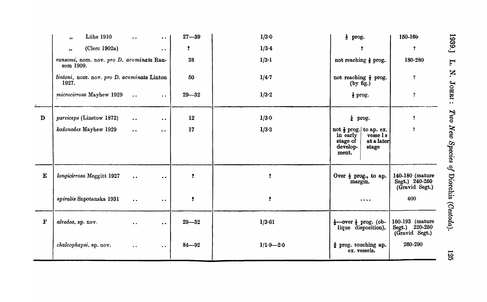|             | <b>Lühe 1910</b><br>$, \, \cdot$                      | $\ddot{\phantom{a}}$<br>$\bullet$ $\bullet$   | $27 - 39$ | 1/3.0         | $\frac{1}{3}$ prog.                                                                                                   | 150-160                                             |
|-------------|-------------------------------------------------------|-----------------------------------------------|-----------|---------------|-----------------------------------------------------------------------------------------------------------------------|-----------------------------------------------------|
|             | (Clerc 1902a)<br>, ,                                  | $\bullet$ $\bullet$                           | <b>?</b>  | 1/3.4         | Ÿ.                                                                                                                    | ?                                                   |
|             | ransomi, nom. nov. pro D. acuminata Ran-<br>som 1909. |                                               | 38        | $1/3 \cdot 1$ | not reaching $\frac{1}{2}$ prog.                                                                                      | 180-280                                             |
|             | lintoni, nom. nov. pro D. acuminata Linton<br>1927.   |                                               | 50        | 1/4.7         | not reaching $\frac{1}{2}$ prog.<br>(by fig.)                                                                         | $\ddot{\textbf{?}}$                                 |
|             | microcirrosa Mayhew 1929                              | $\ddot{\phantom{a}}$ .<br>$\bullet$ $\bullet$ | $29 - 32$ | 1/3.2         | $\frac{1}{2}$ prog.                                                                                                   | $\overline{\mathbf{?}}$                             |
| D           | parviceps (Linstow 1872)                              | $\bullet$ $\bullet$<br>$\bullet\; \bullet$    | 12        | 1/3.0         | $\frac{1}{4}$ prog.                                                                                                   | $\mathbf{?}$                                        |
|             | kodonodes Mayhew 1929                                 | $\ddot{\bullet}$<br>$\bullet$ $\bullet$       | 17        | 1/3.3         | not $\frac{1}{2}$ prog. to ap. ex.<br>$vesse$ 1 s<br>in early<br>at a later<br>stage of<br>develop-<br>stage<br>ment. | ?                                                   |
| ${\bf E}$   | longicirrosa Meggitt 1927                             | $\ddot{\phantom{a}}$ .<br>$\bullet$           | ?         | $\mathbf{r}$  | Over $\frac{1}{2}$ prog., to ap.<br>margin.                                                                           | 140-180 (mature<br>Segt.) 240-250<br>(Gravid Segt.) |
|             | spiralis Szpotanska 1931                              | $\bullet$ $\bullet$<br>$\bullet$ $\bullet$    | Î.        | $\mathbf{r}$  | $\bullet\bullet\bullet\bullet$                                                                                        | 400                                                 |
| $\mathbf F$ | alvedea, sp. nov.                                     | $\bullet$ $\bullet$<br>$\bullet$ $\bullet$    | $29 - 32$ | 1/3.61        | $\frac{1}{2}$ over $\frac{1}{2}$ prog. (ob-<br>lique disposition).                                                    | 160-193 (mature<br>Segt.) 220-250<br>(Gravid Segt.) |
|             | chalcophapsi, sp. nov.                                | $\bullet\, \bullet$<br>$\bullet$ $\bullet$    | $84 - 92$ | $1/1.9 - 2.0$ | # prog. touching ap.<br>ex. vessels.                                                                                  | 260-290                                             |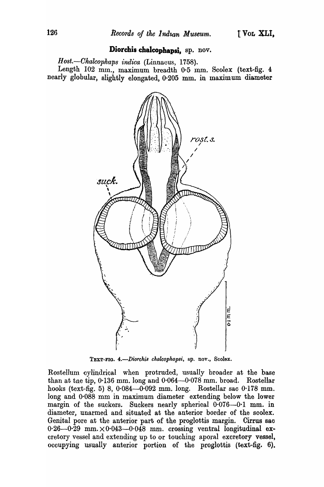## Diorchis chalcophapsi. sp. nov.

*Host.-Oltalcopkaps indica* (Linnacus, 1758).

Length 102 mm., maximum breadth 0.5 mm. Scolex (text-fig. 4 nearly globular, slightly elongated, 0.205 mm. in maximum diameter



TEXT-FIG. *4.-Diorckis chalcophapsi,* sp. nov., Scolex.

Rostellum cylindrical when protruded, usually broader at the base than at tne tip,  $0.136$  mm. long and  $0.064-0.078$  mm. broad. Rostellar hooks (text-fig. 5) 8, 0·084-0·092 mm. long. Rostellar sac 0'178 mm. long and  $0.088$  mm in maximum diameter extending below the lower margin of the suckers. Suckers nearly spherical 0.076-0.1 mm. in diameter, unarmed and situated at the anterior border of the scolex. Genital pore at the anterior part of the proglottis margin. Cirrus sac  $0.26-0.29$  mm.  $\times 0.043-0.048$  mm. crossing ventral longitudinal excretory vessel and extending up to or touching aporal excretory vessel, occupying usually anterior portion of the proglottis (text-fig. 6).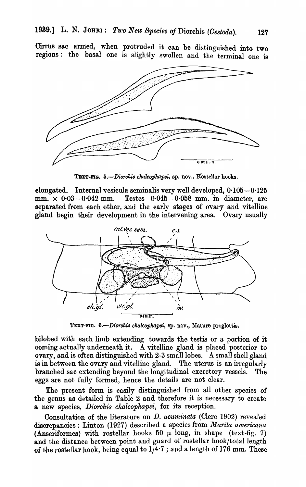Cirrus sac armed, when protruded it can be distinguished into two regions: the basal one is slightly swollen and the terminal one is



TEXT-FIG. 5.-Diorchis chalcophapsi, sp. nov., Rostellar hooks.

elongated. Internal vesicula seminalis very well developed, 0·105-0·125 mm.  $\times$  0.03-0.042 mm. Testes 0.045-0.058 mm. in diameter, are separated from each other, and the early stages of ovary and vitelline gland begin their development in the intervening area. Ovary usually



TEXT-FIG. 6.-Diorchis chalcophapsi, sp. nov., Mature proglottis.

bilobed with each limb extending towards the testis or a portion of it coming actually underneath it. A vitelline gland is placed posterior to ovary, and is often distinguished with 2-3 small lobes. A small shell gland is in between the ovary and vitelline gland. The uterus is an irregularly branched sac extending beyond the longitudinal excretory vessels. The eggs are not fully formed, hence the details are not clear.

The present form is easily distinguished from all other species of the genus as detailed in Table 2 and therefore it is necessary to create a new species, *Diorchis chalcopkapsi,* for its reception.

Consultation of the literature on D. *acuminata* (Clerc 1902) revealed discrepancies: Linton (1927) described a species from *Marila americana* (Anseriformes) with rostellar hooks 50  $\mu$  long, in shape (text-fig. 7) and the distance between point and guard of rostellar hook/total length of the rostellar hook, being equal to  $1/4.7$ ; and a length of 176 mm. These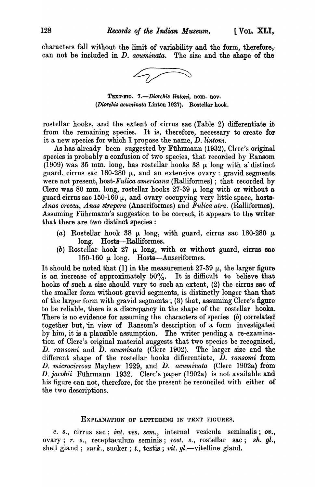characters fall without the limit of variability and the form, therefore, can not be included in *D. acuminata.* The size and the shape of the



TEXT-FIG. 7.-Diorchis lintoni, nom. nov. *(Diorckis acuminata* Linton 1927). Rostellar hook.

rostellar hooks, and the extent of cirrus sac (Table 2) differentiate it from the remaining species. It is, therefore, necessary to create for it a new species for which I propose the name, D. *lintoni.* 

As has already been suggested by Fuhrmann (1932), Clerc's original species is probably a confusion of two species, that recorded by Ransom (1909) was 35 mm. long, has rostellar hooks 38  $\mu$  long with a distinct guard, cirrus sac 180-280  $\mu$ , and an extensive ovary: gravid segments were not present, host-*Fulica americana* (Ralliformes) ; that recorded by Clerc was 80 mm. long, rostellar hooks 27-39  $\mu$  long with or without a guard cirrus sac 150-160  $\mu$ , and ovary occupying very little space, hosts-*Anas crecca, Anas strepera* (Anseriformes) and *F'ulica atra,* (Ralliformes). Assuming Führmann's suggestion to be correct, it appears to the writer that there are two distinct species:

- (a) Rostellar hook 38  $\mu$  long, with guard, cirrus sac 180-280  $\mu$ long. Hosts--Ralliformes.
- (b) Rostellar hook 27  $\mu$  long, with or without guard, cirrus sac 150-160  $\mu$  long. Hosts-Anseriformes.

It should be noted that (1) in the measurement  $27-39$   $\mu$ , the larger figure is an increase of approximately  $50\%$ . It is difficult to believe that hooks of such a size should vary to such an extent,  $(2)$  the cirrus sac of the smaller form without gravid segments, is distinctly longer than that of the larger form with gravid segments; (3) that, assuming Clerc's figure to be reliable, there is a discrepancy in the shape of the rostellar hooks. There is no evidence for assuming the characters of species  $(b)$  correlated together but, in view of Ransom's desoription of a form investigated by him, it is a plausible assumption. The writer pending a re-examination of Clerc's original material suggests that two species be recognised, D. *ransomi* and D. *acuminata* (Clerc 1902). The larger size and the different shape of the rostellar hooks differentiate, D. *ransomi* from D. *microcirrosa* Mayhew 1929, and D. *acuminata* (Clerc 1902a) from *D: jacobii* Fuhrmann 1932. Clerc's paper (1902a) is not available and his figure can not, therefore, for the present be reconciled with either of the two descriptions.

#### EXPLANATION OF LETTERING IN TEXT FIGURES.

*c. s., cirrus sac; int. ves. sem., internal vesicula seminalis; ov.,* ovary;  $r. s.,$  receptaculum seminis; rost. s., rostellar sac; sh. gl., shell gland; *suck.*, sucker; *t.*, testis; *vit. gl.*—vitelline gland.